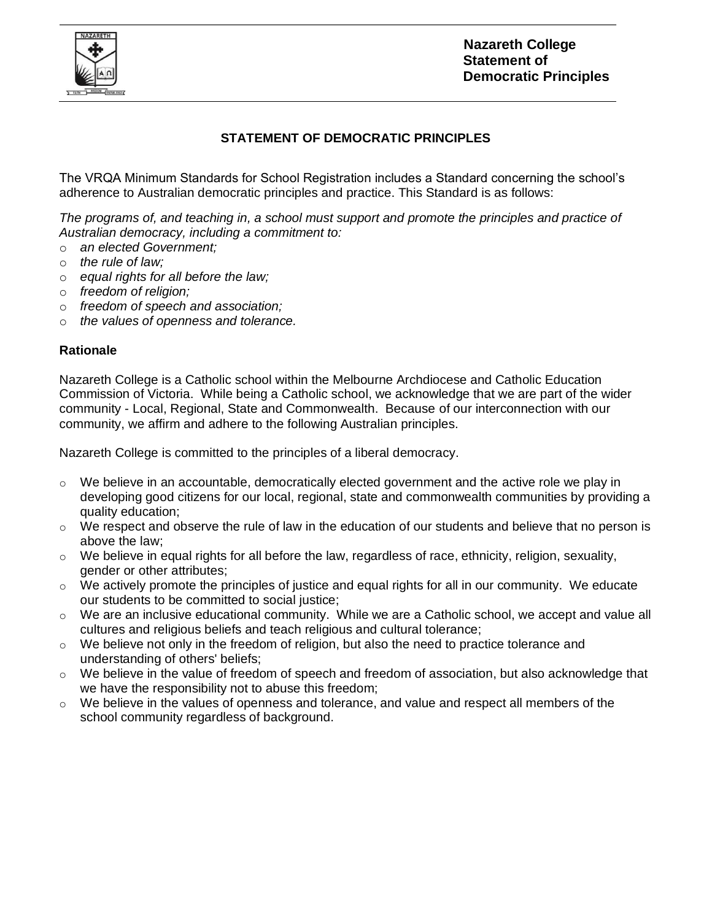

## **STATEMENT OF DEMOCRATIC PRINCIPLES**

The VRQA Minimum Standards for School Registration includes a Standard concerning the school's adherence to Australian democratic principles and practice. This Standard is as follows:

*The programs of, and teaching in, a school must support and promote the principles and practice of Australian democracy, including a commitment to:*

- o *an elected Government;*
- o *the rule of law;*
- o *equal rights for all before the law;*
- o *freedom of religion;*
- o *freedom of speech and association;*
- o *the values of openness and tolerance.*

## **Rationale**

Nazareth College is a Catholic school within the Melbourne Archdiocese and Catholic Education Commission of Victoria. While being a Catholic school, we acknowledge that we are part of the wider community - Local, Regional, State and Commonwealth. Because of our interconnection with our community, we affirm and adhere to the following Australian principles.

Nazareth College is committed to the principles of a liberal democracy.

- $\circ$  We believe in an accountable, democratically elected government and the active role we play in developing good citizens for our local, regional, state and commonwealth communities by providing a quality education;
- $\circ$  We respect and observe the rule of law in the education of our students and believe that no person is above the law;
- o We believe in equal rights for all before the law, regardless of race, ethnicity, religion, sexuality, gender or other attributes;
- $\circ$  We actively promote the principles of justice and equal rights for all in our community. We educate our students to be committed to social justice;
- $\circ$  We are an inclusive educational community. While we are a Catholic school, we accept and value all cultures and religious beliefs and teach religious and cultural tolerance;
- $\circ$  We believe not only in the freedom of religion, but also the need to practice tolerance and understanding of others' beliefs;
- $\circ$  We believe in the value of freedom of speech and freedom of association, but also acknowledge that we have the responsibility not to abuse this freedom;
- $\circ$  We believe in the values of openness and tolerance, and value and respect all members of the school community regardless of background.